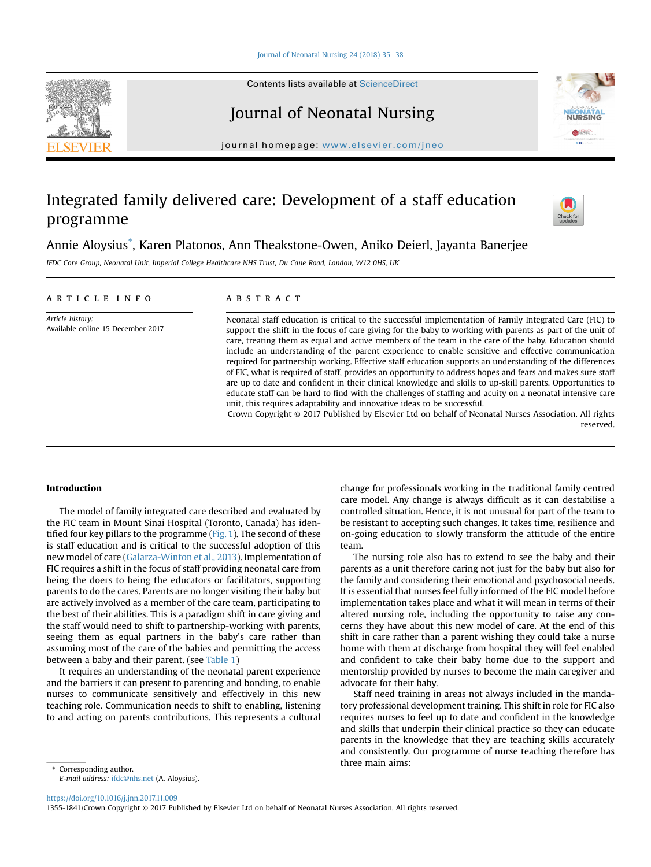[Journal of Neonatal Nursing 24 \(2018\) 35](https://doi.org/10.1016/j.jnn.2017.11.009)-[38](https://doi.org/10.1016/j.jnn.2017.11.009)

Contents lists available at ScienceDirect

## Journal of Neonatal Nursing

journal homepage: <www.elsevier.com/jneo>

# Integrated family delivered care: Development of a staff education programme

Annie Aloysius\* , Karen Platonos, Ann Theakstone-Owen, Aniko Deierl, Jayanta Banerjee

IFDC Core Group, Neonatal Unit, Imperial College Healthcare NHS Trust, Du Cane Road, London, W12 0HS, UK

## article info

Article history: Available online 15 December 2017

#### **ABSTRACT**

Neonatal staff education is critical to the successful implementation of Family Integrated Care (FIC) to support the shift in the focus of care giving for the baby to working with parents as part of the unit of care, treating them as equal and active members of the team in the care of the baby. Education should include an understanding of the parent experience to enable sensitive and effective communication required for partnership working. Effective staff education supports an understanding of the differences of FIC, what is required of staff, provides an opportunity to address hopes and fears and makes sure staff are up to date and confident in their clinical knowledge and skills to up-skill parents. Opportunities to educate staff can be hard to find with the challenges of staffing and acuity on a neonatal intensive care unit, this requires adaptability and innovative ideas to be successful.

Crown Copyright © 2017 Published by Elsevier Ltd on behalf of Neonatal Nurses Association. All rights reserved.

#### Introduction

The model of family integrated care described and evaluated by the FIC team in Mount Sinai Hospital (Toronto, Canada) has identified four key pillars to the programme [\(Fig. 1](#page-1-0)). The second of these is staff education and is critical to the successful adoption of this new model of care ([Galarza-Winton et al., 2013\)](#page-3-0). Implementation of FIC requires a shift in the focus of staff providing neonatal care from being the doers to being the educators or facilitators, supporting parents to do the cares. Parents are no longer visiting their baby but are actively involved as a member of the care team, participating to the best of their abilities. This is a paradigm shift in care giving and the staff would need to shift to partnership-working with parents, seeing them as equal partners in the baby's care rather than assuming most of the care of the babies and permitting the access between a baby and their parent. (see [Table 1\)](#page-1-0)

It requires an understanding of the neonatal parent experience and the barriers it can present to parenting and bonding, to enable nurses to communicate sensitively and effectively in this new teaching role. Communication needs to shift to enabling, listening to and acting on parents contributions. This represents a cultural

E-mail address: [ifdc@nhs.net](mailto:ifdc@nhs.net) (A. Aloysius).

change for professionals working in the traditional family centred care model. Any change is always difficult as it can destabilise a controlled situation. Hence, it is not unusual for part of the team to be resistant to accepting such changes. It takes time, resilience and on-going education to slowly transform the attitude of the entire team.

The nursing role also has to extend to see the baby and their parents as a unit therefore caring not just for the baby but also for the family and considering their emotional and psychosocial needs. It is essential that nurses feel fully informed of the FIC model before implementation takes place and what it will mean in terms of their altered nursing role, including the opportunity to raise any concerns they have about this new model of care. At the end of this shift in care rather than a parent wishing they could take a nurse home with them at discharge from hospital they will feel enabled and confident to take their baby home due to the support and mentorship provided by nurses to become the main caregiver and advocate for their baby.

Staff need training in areas not always included in the mandatory professional development training. This shift in role for FIC also requires nurses to feel up to date and confident in the knowledge and skills that underpin their clinical practice so they can educate parents in the knowledge that they are teaching skills accurately and consistently. Our programme of nurse teaching therefore has The main aims:  $\frac{1}{\sqrt{1-\frac{1}{n}}}$  (orresponding author.







<https://doi.org/10.1016/j.jnn.2017.11.009>

<sup>1355-1841/</sup>Crown Copyright © 2017 Published by Elsevier Ltd on behalf of Neonatal Nurses Association. All rights reserved.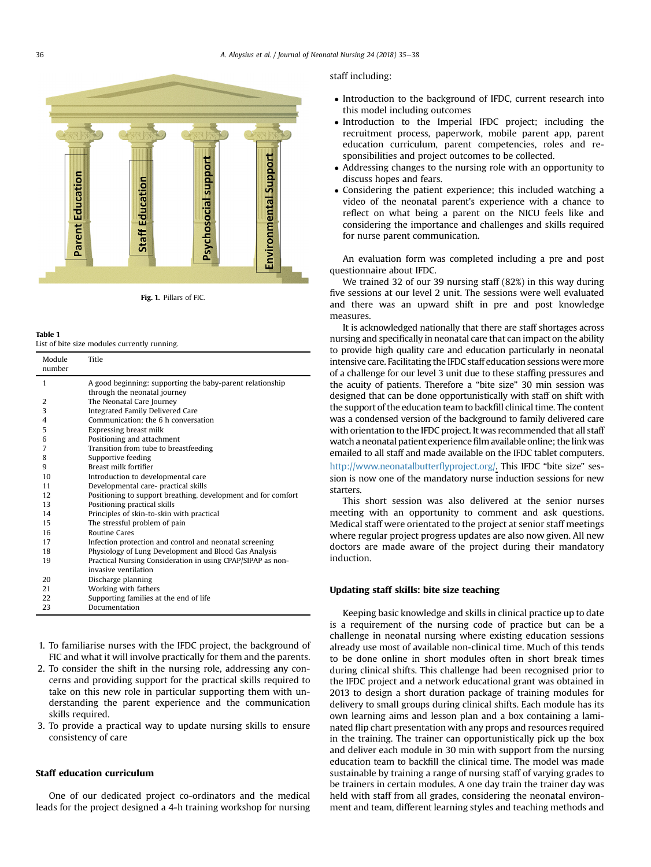<span id="page-1-0"></span>

Fig. 1. Pillars of FIC.

| <b>Table 1</b>                               |  |  |
|----------------------------------------------|--|--|
| List of bite size modules currently running. |  |  |

| Module<br>number | Title                                                         |
|------------------|---------------------------------------------------------------|
| 1                | A good beginning: supporting the baby-parent relationship     |
|                  | through the neonatal journey                                  |
| 2                | The Neonatal Care Journey                                     |
| 3                | Integrated Family Delivered Care                              |
| $\overline{4}$   | Communication: the 6 h conversation                           |
| 5                | Expressing breast milk                                        |
| 6                | Positioning and attachment                                    |
| 7                | Transition from tube to breastfeeding                         |
| 8                | Supportive feeding                                            |
| 9                | Breast milk fortifier                                         |
| 10               | Introduction to developmental care                            |
| 11               | Developmental care- practical skills                          |
| 12               | Positioning to support breathing, development and for comfort |
| 13               | Positioning practical skills                                  |
| 14               | Principles of skin-to-skin with practical                     |
| 15               | The stressful problem of pain                                 |
| 16               | <b>Routine Cares</b>                                          |
| 17               | Infection protection and control and neonatal screening       |
| 18               | Physiology of Lung Development and Blood Gas Analysis         |
| 19               | Practical Nursing Consideration in using CPAP/SIPAP as non-   |
|                  | invasive ventilation                                          |
| 20               | Discharge planning                                            |
| 21               | Working with fathers                                          |
| 22               | Supporting families at the end of life                        |
| 23               | Documentation                                                 |

- 1. To familiarise nurses with the IFDC project, the background of FIC and what it will involve practically for them and the parents.
- 2. To consider the shift in the nursing role, addressing any concerns and providing support for the practical skills required to take on this new role in particular supporting them with understanding the parent experience and the communication skills required.
- 3. To provide a practical way to update nursing skills to ensure consistency of care

## Staff education curriculum

One of our dedicated project co-ordinators and the medical leads for the project designed a 4-h training workshop for nursing

#### staff including:

- Introduction to the background of IFDC, current research into this model including outcomes
- Introduction to the Imperial IFDC project; including the recruitment process, paperwork, mobile parent app, parent education curriculum, parent competencies, roles and responsibilities and project outcomes to be collected.
- Addressing changes to the nursing role with an opportunity to discuss hopes and fears.
- Considering the patient experience; this included watching a video of the neonatal parent's experience with a chance to reflect on what being a parent on the NICU feels like and considering the importance and challenges and skills required for nurse parent communication.

An evaluation form was completed including a pre and post questionnaire about IFDC.

We trained 32 of our 39 nursing staff (82%) in this way during five sessions at our level 2 unit. The sessions were well evaluated and there was an upward shift in pre and post knowledge measures.

It is acknowledged nationally that there are staff shortages across nursing and specifically in neonatal care that can impact on the ability to provide high quality care and education particularly in neonatal intensive care. Facilitating the IFDC staff education sessions were more of a challenge for our level 3 unit due to these staffing pressures and the acuity of patients. Therefore a "bite size" 30 min session was designed that can be done opportunistically with staff on shift with the support of the education team to backfill clinical time. The content was a condensed version of the background to family delivered care with orientation to the IFDC project. It was recommended that all staff watch a neonatal patient experience film available online; the link was emailed to all staff and made available on the IFDC tablet computers. [http://www.neonatalbutter](http://www.neonatalbutterflyproject.org/)flyproject.org/. This IFDC "bite size" session is now one of the mandatory nurse induction sessions for new starters.

This short session was also delivered at the senior nurses meeting with an opportunity to comment and ask questions. Medical staff were orientated to the project at senior staff meetings where regular project progress updates are also now given. All new doctors are made aware of the project during their mandatory induction.

## Updating staff skills: bite size teaching

Keeping basic knowledge and skills in clinical practice up to date is a requirement of the nursing code of practice but can be a challenge in neonatal nursing where existing education sessions already use most of available non-clinical time. Much of this tends to be done online in short modules often in short break times during clinical shifts. This challenge had been recognised prior to the IFDC project and a network educational grant was obtained in 2013 to design a short duration package of training modules for delivery to small groups during clinical shifts. Each module has its own learning aims and lesson plan and a box containing a laminated flip chart presentation with any props and resources required in the training. The trainer can opportunistically pick up the box and deliver each module in 30 min with support from the nursing education team to backfill the clinical time. The model was made sustainable by training a range of nursing staff of varying grades to be trainers in certain modules. A one day train the trainer day was held with staff from all grades, considering the neonatal environment and team, different learning styles and teaching methods and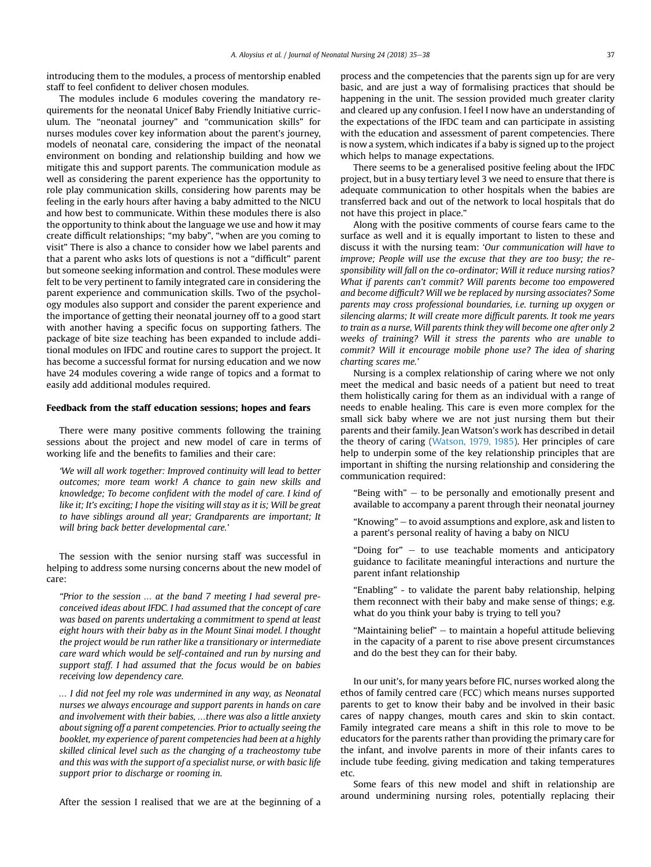introducing them to the modules, a process of mentorship enabled staff to feel confident to deliver chosen modules.

The modules include 6 modules covering the mandatory requirements for the neonatal Unicef Baby Friendly Initiative curriculum. The "neonatal journey" and "communication skills" for nurses modules cover key information about the parent's journey, models of neonatal care, considering the impact of the neonatal environment on bonding and relationship building and how we mitigate this and support parents. The communication module as well as considering the parent experience has the opportunity to role play communication skills, considering how parents may be feeling in the early hours after having a baby admitted to the NICU and how best to communicate. Within these modules there is also the opportunity to think about the language we use and how it may create difficult relationships; "my baby", "when are you coming to visit" There is also a chance to consider how we label parents and that a parent who asks lots of questions is not a "difficult" parent but someone seeking information and control. These modules were felt to be very pertinent to family integrated care in considering the parent experience and communication skills. Two of the psychology modules also support and consider the parent experience and the importance of getting their neonatal journey off to a good start with another having a specific focus on supporting fathers. The package of bite size teaching has been expanded to include additional modules on IFDC and routine cares to support the project. It has become a successful format for nursing education and we now have 24 modules covering a wide range of topics and a format to easily add additional modules required.

### Feedback from the staff education sessions; hopes and fears

There were many positive comments following the training sessions about the project and new model of care in terms of working life and the benefits to families and their care:

'We will all work together: Improved continuity will lead to better outcomes; more team work! A chance to gain new skills and knowledge; To become confident with the model of care. I kind of like it; It's exciting; I hope the visiting will stay as it is; Will be great to have siblings around all year; Grandparents are important; It will bring back better developmental care.'

The session with the senior nursing staff was successful in helping to address some nursing concerns about the new model of care:

"Prior to the session … at the band 7 meeting I had several preconceived ideas about IFDC. I had assumed that the concept of care was based on parents undertaking a commitment to spend at least eight hours with their baby as in the Mount Sinai model. I thought the project would be run rather like a transitionary or intermediate care ward which would be self-contained and run by nursing and support staff. I had assumed that the focus would be on babies receiving low dependency care.

… I did not feel my role was undermined in any way, as Neonatal nurses we always encourage and support parents in hands on care and involvement with their babies, …there was also a little anxiety about signing off a parent competencies. Prior to actually seeing the booklet, my experience of parent competencies had been at a highly skilled clinical level such as the changing of a tracheostomy tube and this was with the support of a specialist nurse, or with basic life support prior to discharge or rooming in.

After the session I realised that we are at the beginning of a

process and the competencies that the parents sign up for are very basic, and are just a way of formalising practices that should be happening in the unit. The session provided much greater clarity and cleared up any confusion. I feel I now have an understanding of the expectations of the IFDC team and can participate in assisting with the education and assessment of parent competencies. There is now a system, which indicates if a baby is signed up to the project which helps to manage expectations.

There seems to be a generalised positive feeling about the IFDC project, but in a busy tertiary level 3 we need to ensure that there is adequate communication to other hospitals when the babies are transferred back and out of the network to local hospitals that do not have this project in place."

Along with the positive comments of course fears came to the surface as well and it is equally important to listen to these and discuss it with the nursing team: 'Our communication will have to improve; People will use the excuse that they are too busy; the responsibility will fall on the co-ordinator; Will it reduce nursing ratios? What if parents can't commit? Will parents become too empowered and become difficult? Will we be replaced by nursing associates? Some parents may cross professional boundaries, i.e. turning up oxygen or silencing alarms; It will create more difficult parents. It took me years to train as a nurse, Will parents think they will become one after only 2 weeks of training? Will it stress the parents who are unable to commit? Will it encourage mobile phone use? The idea of sharing charting scares me.'

Nursing is a complex relationship of caring where we not only meet the medical and basic needs of a patient but need to treat them holistically caring for them as an individual with a range of needs to enable healing. This care is even more complex for the small sick baby where we are not just nursing them but their parents and their family. Jean Watson's work has described in detail the theory of caring ([Watson, 1979, 1985](#page-3-0)). Her principles of care help to underpin some of the key relationship principles that are important in shifting the nursing relationship and considering the communication required:

"Being with"  $-$  to be personally and emotionally present and available to accompany a parent through their neonatal journey

- "Knowing" to avoid assumptions and explore, ask and listen to a parent's personal reality of having a baby on NICU
- "Doing for"  $-$  to use teachable moments and anticipatory guidance to facilitate meaningful interactions and nurture the parent infant relationship
- "Enabling" to validate the parent baby relationship, helping them reconnect with their baby and make sense of things; e.g. what do you think your baby is trying to tell you?
- "Maintaining belief"  $-$  to maintain a hopeful attitude believing in the capacity of a parent to rise above present circumstances and do the best they can for their baby.

In our unit's, for many years before FIC, nurses worked along the ethos of family centred care (FCC) which means nurses supported parents to get to know their baby and be involved in their basic cares of nappy changes, mouth cares and skin to skin contact. Family integrated care means a shift in this role to move to be educators for the parents rather than providing the primary care for the infant, and involve parents in more of their infants cares to include tube feeding, giving medication and taking temperatures etc.

Some fears of this new model and shift in relationship are around undermining nursing roles, potentially replacing their